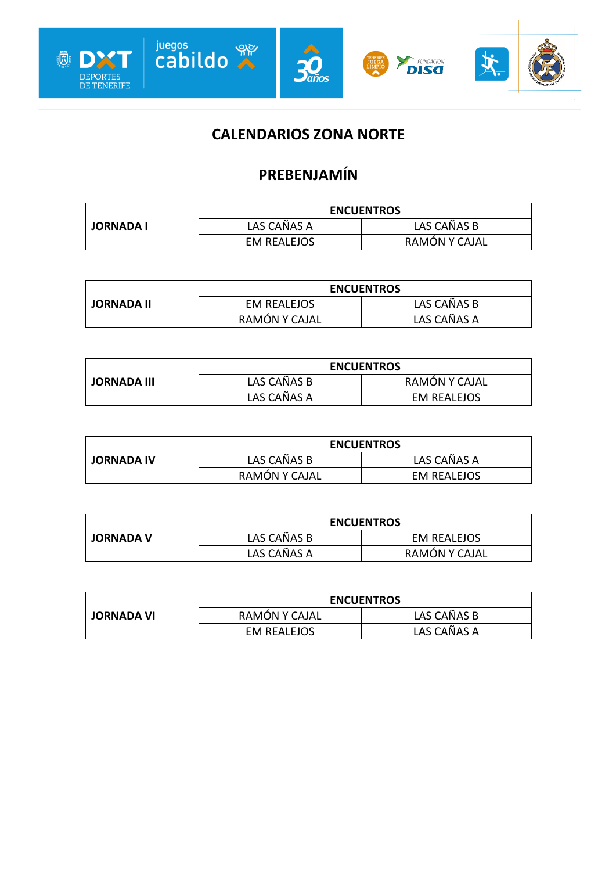

### **CALENDARIOS ZONA NORTE**

### **PREBENJAMÍN**

|                  | <b>ENCUENTROS</b>  |               |
|------------------|--------------------|---------------|
| <b>JORNADA I</b> | LAS CAÑAS A        | LAS CAÑAS B   |
|                  | <b>EM REALEJOS</b> | RAMÓN Y CAJAL |

|                   | <b>ENCUENTROS</b> |             |
|-------------------|-------------------|-------------|
| <b>JORNADA II</b> | EM REALEJOS       | LAS CAÑAS B |
|                   | RAMÓN Y CAJAL     | LAS CAÑAS A |

|                    | <b>ENCUENTROS</b> |                    |
|--------------------|-------------------|--------------------|
| <b>JORNADA III</b> | LAS CAÑAS B       | RAMON Y CAJAL      |
|                    | LAS CAÑAS A       | <b>EM REALEJOS</b> |

|                   | <b>ENCUENTROS</b> |                    |
|-------------------|-------------------|--------------------|
| <b>JORNADA IV</b> | LAS CAÑAS B       | LAS CAÑAS A        |
|                   | RAMÓN Y CAJAL     | <b>EM REALEJOS</b> |

|                  | <b>ENCUENTROS</b> |               |
|------------------|-------------------|---------------|
| <b>JORNADA V</b> | LAS CAÑAS B       | EM REALEJOS   |
|                  | LAS CAÑAS A       | RAMÓN Y CAJAL |

|                   | <b>ENCUENTROS</b> |             |
|-------------------|-------------------|-------------|
| <b>JORNADA VI</b> | RAMÓN Y CAJAL     | LAS CAÑAS B |
|                   | EM REALEJOS       | LAS CAÑAS A |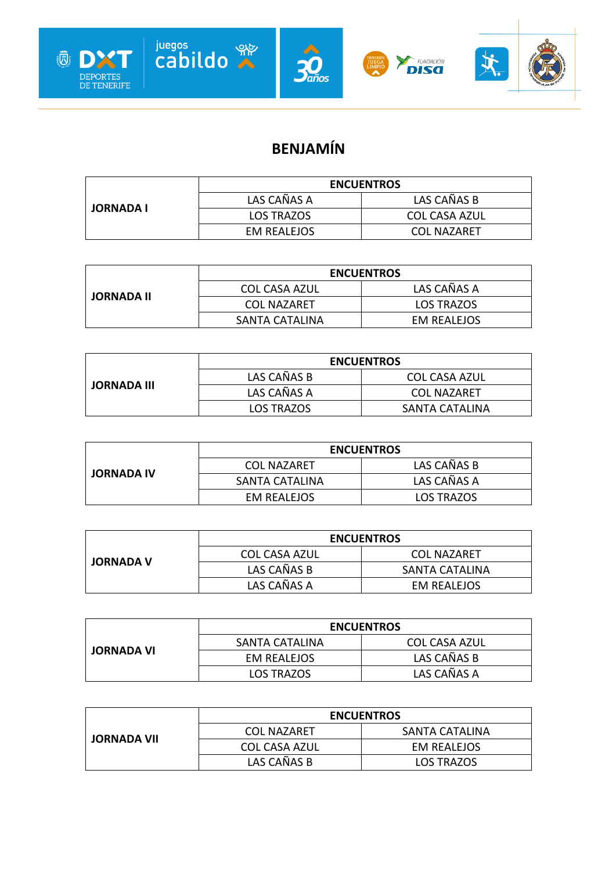

# **BENJAMÍN**

|                  | <b>ENCUENTROS</b>  |                      |
|------------------|--------------------|----------------------|
| <b>JORNADA I</b> | LAS CAÑAS A        | LAS CAÑAS B          |
|                  | <b>LOS TRAZOS</b>  | <b>COL CASA AZUL</b> |
|                  | <b>EM REALEJOS</b> | <b>COL NAZARET</b>   |

| <b>JORNADA II</b> | <b>ENCUENTROS</b>    |                    |
|-------------------|----------------------|--------------------|
|                   | <b>COL CASA AZUL</b> | LAS CAÑAS A        |
|                   | <b>COL NAZARFT</b>   | <b>LOS TRAZOS</b>  |
|                   | SANTA CATALINA       | <b>EM REALEJOS</b> |

|                    | <b>ENCUENTROS</b> |                |
|--------------------|-------------------|----------------|
| <b>JORNADA III</b> | LAS CAÑAS B       | COL CASA AZUL  |
|                    | LAS CAÑAS A       | COL NAZARFT    |
|                    | <b>LOS TRAZOS</b> | SANTA CATALINA |

|                   | <b>ENCUENTROS</b>  |             |
|-------------------|--------------------|-------------|
| <b>JORNADA IV</b> | <b>COL NAZARET</b> | LAS CAÑAS B |
|                   | SANTA CATALINA     | LAS CAÑAS A |
|                   | EM REALEJOS        | LOS TRAZOS  |

|                  | <b>ENCUENTROS</b> |                    |
|------------------|-------------------|--------------------|
| <b>JORNADA V</b> | COL CASA AZUL     | <b>COL NAZARET</b> |
|                  | LAS CAÑAS B       | SANTA CATALINA     |
|                  | LAS CAÑAS A       | EM REALEJOS        |

|                   | <b>ENCUENTROS</b> |                      |
|-------------------|-------------------|----------------------|
| <b>JORNADA VI</b> | SANTA CATALINA    | <b>COL CASA AZUL</b> |
|                   | EM REALEJOS       | LAS CAÑAS B          |
|                   | LOS TRAZOS        | LAS CAÑAS A          |

|                    | <b>ENCUENTROS</b>    |                    |
|--------------------|----------------------|--------------------|
| <b>JORNADA VII</b> | <b>COL NAZARET</b>   | SANTA CATALINA     |
|                    | <b>COL CASA AZUL</b> | <b>EM REALEJOS</b> |
|                    | LAS CAÑAS B          | <b>LOS TRAZOS</b>  |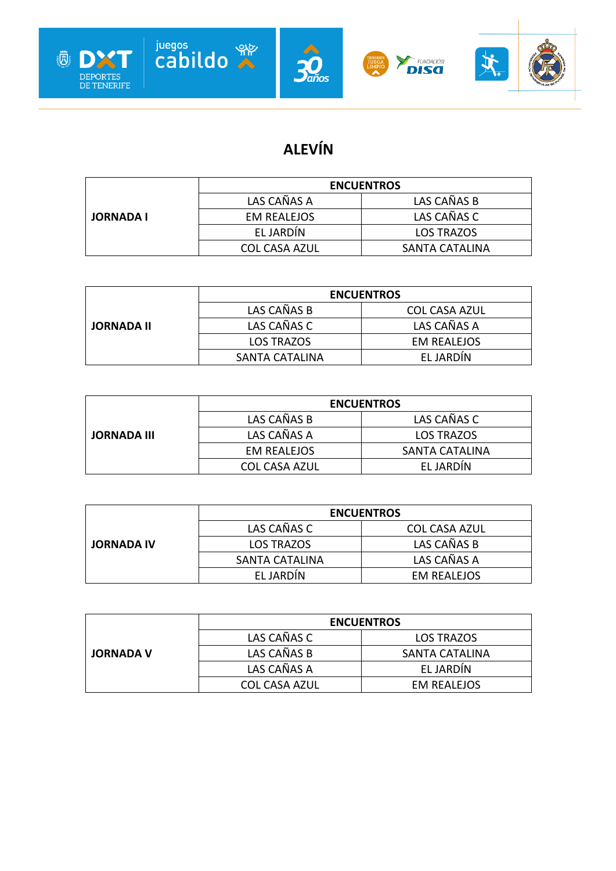







# **ALEVÍN**

|                  | <b>ENCUENTROS</b>  |                   |
|------------------|--------------------|-------------------|
|                  | LAS CAÑAS A        | LAS CAÑAS B       |
| <b>JORNADA I</b> | <b>EM REALEJOS</b> | LAS CAÑAS C       |
|                  | EL JARDIN          | <b>LOS TRAZOS</b> |
|                  | COL CASA AZUL      | SANTA CATALINA    |

|                   | <b>ENCUENTROS</b> |                      |
|-------------------|-------------------|----------------------|
|                   | LAS CAÑAS B       | <b>COL CASA AZUL</b> |
| <b>JORNADA II</b> | LAS CAÑAS C       | LAS CAÑAS A          |
|                   | LOS TRAZOS        | <b>EM REALEJOS</b>   |
|                   | SANTA CATALINA    | <b>FLJARDIN</b>      |

|                    | <b>ENCUENTROS</b>    |                |
|--------------------|----------------------|----------------|
|                    | LAS CAÑAS B          | LAS CAÑAS C    |
| <b>JORNADA III</b> | LAS CAÑAS A          | LOS TRAZOS     |
|                    | <b>EM REALEJOS</b>   | SANTA CATALINA |
|                    | <b>COL CASA AZUL</b> | EL JARDIN      |

|                   | <b>ENCUENTROS</b> |                      |
|-------------------|-------------------|----------------------|
|                   | LAS CAÑAS C       | <b>COL CASA AZUL</b> |
| <b>JORNADA IV</b> | LOS TRAZOS        | LAS CAÑAS B          |
|                   | SANTA CATALINA    | LAS CAÑAS A          |
|                   | EL JARDIN         | EM REALEJOS          |

|                  | <b>ENCUENTROS</b>    |                    |
|------------------|----------------------|--------------------|
|                  | LAS CAÑAS C          | LOS TRAZOS         |
| <b>JORNADA V</b> | LAS CAÑAS B          | SANTA CATALINA     |
|                  | LAS CAÑAS A          | EL JARDÍN          |
|                  | <b>COL CASA AZUL</b> | <b>EM REALEJOS</b> |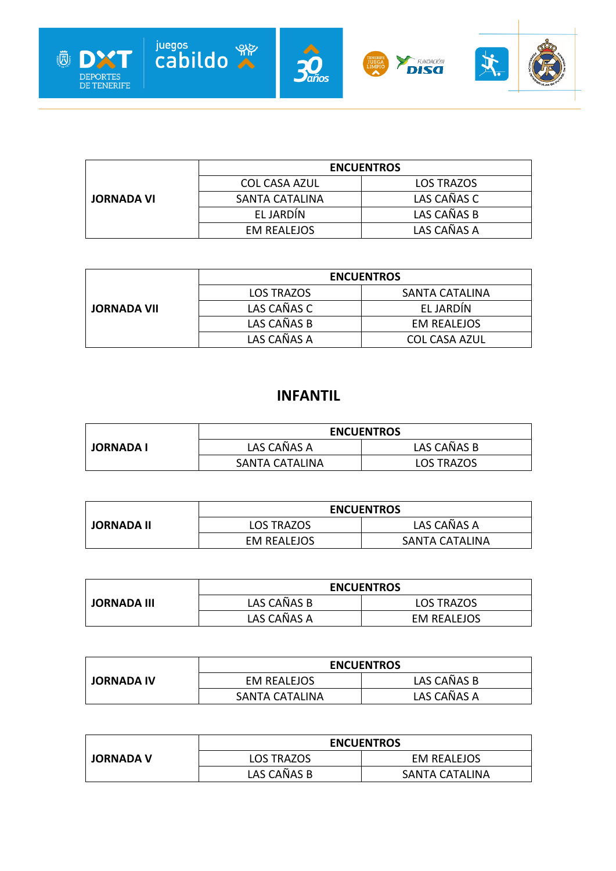

|                   | <b>ENCUENTROS</b>    |                   |
|-------------------|----------------------|-------------------|
|                   | <b>COL CASA AZUL</b> | <b>LOS TRAZOS</b> |
| <b>JORNADA VI</b> | SANTA CATALINA       | LAS CAÑAS C       |
|                   | EL JARDIN            | LAS CAÑAS B       |
|                   | <b>EM REALEJOS</b>   | LAS CAÑAS A       |

|                    | <b>ENCUENTROS</b> |                      |
|--------------------|-------------------|----------------------|
|                    | <b>LOS TRAZOS</b> | SANTA CATALINA       |
| <b>JORNADA VII</b> | LAS CAÑAS C       | EL JARDIN            |
|                    | LAS CAÑAS B       | <b>EM REALEJOS</b>   |
|                    | LAS CAÑAS A       | <b>COL CASA AZUL</b> |

#### **INFANTIL**

|                  | <b>ENCUENTROS</b> |                   |
|------------------|-------------------|-------------------|
| <b>JORNADA I</b> | LAS CAÑAS A       | LAS CAÑAS B       |
|                  | SANTA CATALINA    | <b>LOS TRAZOS</b> |

|                   | <b>ENCUENTROS</b> |                |
|-------------------|-------------------|----------------|
| <b>JORNADA II</b> | <b>LOS TRAZOS</b> | LAS CAÑAS A    |
|                   | EM REALEJOS       | SANTA CATALINA |

|                    | <b>ENCUENTROS</b> |                   |
|--------------------|-------------------|-------------------|
| <b>JORNADA III</b> | LAS CAÑAS B       | <b>LOS TRAZOS</b> |
|                    | LAS CAÑAS A       | EM REALEJOS       |

|                   | <b>ENCUENTROS</b>     |             |
|-------------------|-----------------------|-------------|
| <b>JORNADA IV</b> | EM REALEJOS           | LAS CAÑAS B |
|                   | <b>SANTA CATALINA</b> | LAS CAÑAS A |

|                  | <b>ENCUENTROS</b> |                       |
|------------------|-------------------|-----------------------|
| <b>JORNADA V</b> | <b>LOS TRAZOS</b> | <b>EM REALEJOS</b>    |
|                  | LAS CAÑAS B       | <b>SANTA CATALINA</b> |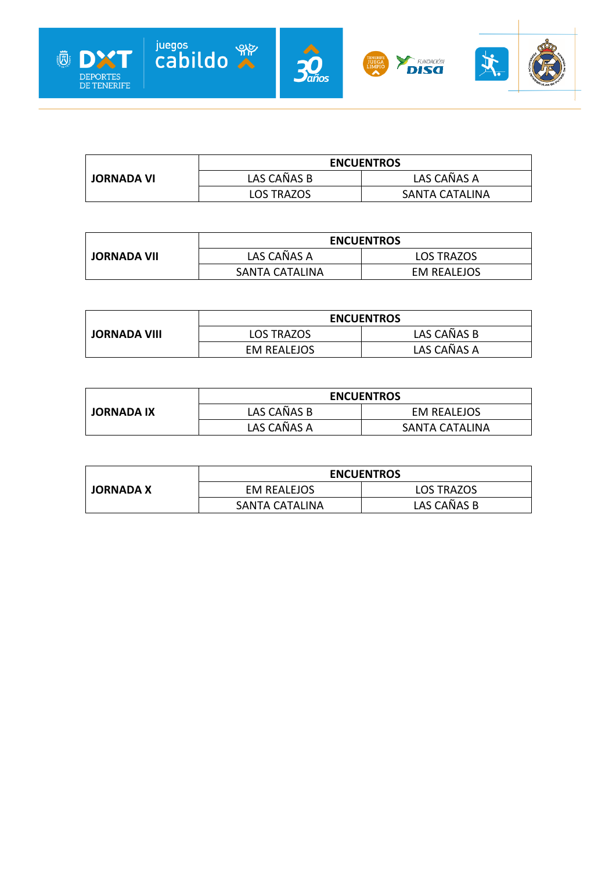

|                   |             | <b>ENCUENTROS</b> |
|-------------------|-------------|-------------------|
| <b>JORNADA VI</b> | LAS CAÑAS B | LAS CAÑAS A       |
|                   | LOS TRAZOS  | SANTA CATALINA    |

|                    | <b>ENCUENTROS</b> |                   |
|--------------------|-------------------|-------------------|
| <b>JORNADA VII</b> | LAS CAÑAS A       | <b>LOS TRAZOS</b> |
|                    | SANTA CATALINA    | EM REALEJOS       |

| <b>JORNADA VIII</b> | <b>ENCUENTROS</b> |             |
|---------------------|-------------------|-------------|
|                     | <b>LOS TRAZOS</b> | LAS CAÑAS B |
|                     | EM REALEJOS       | LAS CAÑAS A |

|                   | <b>ENCUENTROS</b> |                       |
|-------------------|-------------------|-----------------------|
| <b>JORNADA IX</b> | LAS CAÑAS B       | EM REALEJOS           |
|                   | LAS CAÑAS A       | <b>SANTA CATALINA</b> |

|                  | <b>ENCUENTROS</b>     |             |
|------------------|-----------------------|-------------|
| <b>JORNADA X</b> | EM REALEJOS           | LOS TRAZOS  |
|                  | <b>SANTA CATALINA</b> | LAS CAÑAS B |